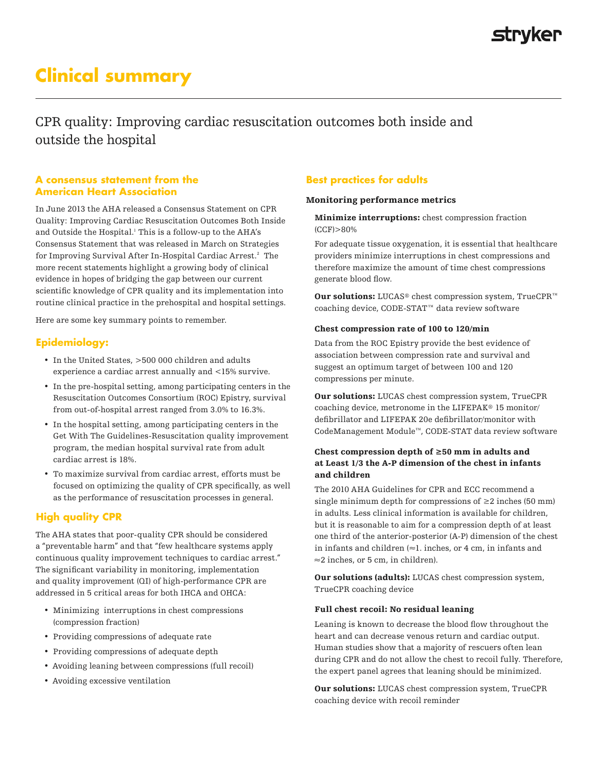# strvker

# **Clinical summary**

CPR quality: Improving cardiac resuscitation outcomes both inside and outside the hospital

### **A consensus statement from the American Heart Association**

In June 2013 the AHA released a Consensus Statement on CPR Quality: Improving Cardiac Resuscitation Outcomes Both Inside and Outside the Hospital.<sup>1</sup> This is a follow-up to the AHA's Consensus Statement that was released in March on Strategies for Improving Survival After In-Hospital Cardiac Arrest.2 The more recent statements highlight a growing body of clinical evidence in hopes of bridging the gap between our current scientific knowledge of CPR quality and its implementation into routine clinical practice in the prehospital and hospital settings.

Here are some key summary points to remember.

# **Epidemiology:**

- In the United States, >500 000 children and adults experience a cardiac arrest annually and <15% survive.
- In the pre-hospital setting, among participating centers in the Resuscitation Outcomes Consortium (ROC) Epistry, survival from out-of-hospital arrest ranged from 3.0% to 16.3%.
- In the hospital setting, among participating centers in the Get With The Guidelines-Resuscitation quality improvement program, the median hospital survival rate from adult cardiac arrest is 18%.
- To maximize survival from cardiac arrest, efforts must be focused on optimizing the quality of CPR specifically, as well as the performance of resuscitation processes in general.

# **High quality CPR**

The AHA states that poor-quality CPR should be considered a "preventable harm" and that "few healthcare systems apply continuous quality improvement techniques to cardiac arrest." The significant variability in monitoring, implementation and quality improvement (QI) of high-performance CPR are addressed in 5 critical areas for both IHCA and OHCA:

- Minimizing interruptions in chest compressions (compression fraction)
- Providing compressions of adequate rate
- Providing compressions of adequate depth
- Avoiding leaning between compressions (full recoil)
- Avoiding excessive ventilation

# **Best practices for adults**

#### Monitoring performance metrics

Minimize interruptions: chest compression fraction (CCF)>80%

For adequate tissue oxygenation, it is essential that healthcare providers minimize interruptions in chest compressions and therefore maximize the amount of time chest compressions generate blood flow.

Our solutions: LUCAS® chest compression system, TrueCPR™ coaching device, CODE-STAT™ data review software

#### Chest compression rate of 100 to 120/min

Data from the ROC Epistry provide the best evidence of association between compression rate and survival and suggest an optimum target of between 100 and 120 compressions per minute.

Our solutions: LUCAS chest compression system, TrueCPR coaching device, metronome in the LIFEPAK® 15 monitor/ defibrillator and LIFEPAK 20e defibrillator/monitor with CodeManagement Module™, CODE-STAT data review software

#### Chest compression depth of ≥50 mm in adults and at Least 1/3 the A-P dimension of the chest in infants and children

The 2010 AHA Guidelines for CPR and ECC recommend a single minimum depth for compressions of  $\geq 2$  inches (50 mm) in adults. Less clinical information is available for children, but it is reasonable to aim for a compression depth of at least one third of the anterior-posterior (A-P) dimension of the chest in infants and children (≈1. inches, or 4 cm, in infants and ≈2 inches, or 5 cm, in children).

Our solutions (adults): LUCAS chest compression system, TrueCPR coaching device

#### Full chest recoil: No residual leaning

Leaning is known to decrease the blood flow throughout the heart and can decrease venous return and cardiac output. Human studies show that a majority of rescuers often lean during CPR and do not allow the chest to recoil fully. Therefore, the expert panel agrees that leaning should be minimized.

Our solutions: LUCAS chest compression system, TrueCPR coaching device with recoil reminder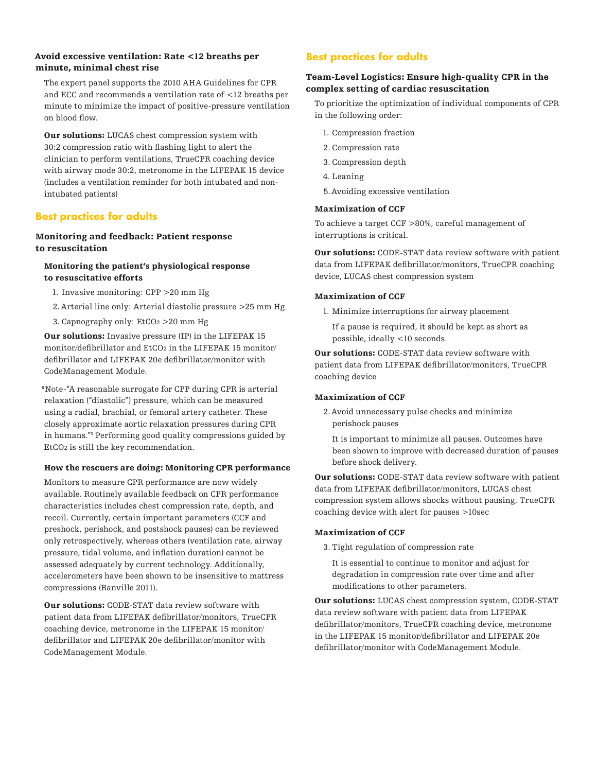### Avoid excessive ventilation: Rate <12 breaths per minute, minimal chest rise

The expert panel supports the 2010 AHA Guidelines for CPR and ECC and recommends a ventilation rate of <12 breaths per minute to minimize the impact of positive-pressure ventilation on blood flow.

Our solutions: LUCAS chest compression system with 30:2 compression ratio with flashing light to alert the clinician to perform ventilations, TrueCPR coaching device with airway mode 30:2, metronome in the LIFEPAK 15 device (includes a ventilation reminder for both intubated and nonintubated patients)

# **Best practices for adults**

## Monitoring and feedback: Patient response to resuscitation

### Monitoring the patient's physiological response to resuscitative efforts

- 1. Invasive monitoring: CPP >20 mm Hg
- 2.Arterial line only: Arterial diastolic pressure >25 mm Hg
- 3. Capnography only: EtCO2 >20 mm Hg

Our solutions: Invasive pressure (IP) in the LIFEPAK 15 monitor/defibrillator and EtCO2 in the LIFEPAK 15 monitor/ defibrillator and LIFEPAK 20e defibrillator/monitor with CodeManagement Module.

\*Note-"A reasonable surrogate for CPP during CPR is arterial relaxation ("diastolic") pressure, which can be measured using a radial, brachial, or femoral artery catheter. These closely approximate aortic relaxation pressures during CPR in humans."3 Performing good quality compressions guided by EtCO2 is still the key recommendation.

#### How the rescuers are doing: Monitoring CPR performance

Monitors to measure CPR performance are now widely available. Routinely available feedback on CPR performance characteristics includes chest compression rate, depth, and recoil. Currently, certain important parameters (CCF and preshock, perishock, and postshock pauses) can be reviewed only retrospectively, whereas others (ventilation rate, airway pressure, tidal volume, and inflation duration) cannot be assessed adequately by current technology. Additionally, accelerometers have been shown to be insensitive to mattress compressions (Banville 2011).

**Our solutions:** CODE-STAT data review software with patient data from LIFEPAK defibrillator/monitors, TrueCPR coaching device, metronome in the LIFEPAK 15 monitor/ defibrillator and LIFEPAK 20e defibrillator/monitor with CodeManagement Module.

# **Best practices for adults**

### Team-Level Logistics: Ensure high-quality CPR in the complex setting of cardiac resuscitation

To prioritize the optimization of individual components of CPR in the following order:

- 1. Compression fraction
- 2. Compression rate
- 3. Compression depth
- 4. Leaning
- 5.Avoiding excessive ventilation

#### Maximization of CCF

To achieve a target CCF >80%, careful management of interruptions is critical.

Our solutions: CODE-STAT data review software with patient data from LIFEPAK defibrillator/monitors, TrueCPR coaching device, LUCAS chest compression system

#### Maximization of CCF

1. Minimize interruptions for airway placement

If a pause is required, it should be kept as short as possible, ideally <10 seconds.

Our solutions: CODE-STAT data review software with patient data from LIFEPAK defibrillator/monitors, TrueCPR coaching device

#### Maximization of CCF

2.Avoid unnecessary pulse checks and minimize perishock pauses

It is important to minimize all pauses. Outcomes have been shown to improve with decreased duration of pauses before shock delivery.

Our solutions: CODE-STAT data review software with patient data from LIFEPAK defibrillator/monitors, LUCAS chest compression system allows shocks without pausing, TrueCPR coaching device with alert for pauses >10sec

#### Maximization of CCF

- 3. Tight regulation of compression rate
	- It is essential to continue to monitor and adjust for degradation in compression rate over time and after modifications to other parameters.

Our solutions: LUCAS chest compression system, CODE-STAT data review software with patient data from LIFEPAK defibrillator/monitors, TrueCPR coaching device, metronome in the LIFEPAK 15 monitor/defibrillator and LIFEPAK 20e defibrillator/monitor with CodeManagement Module.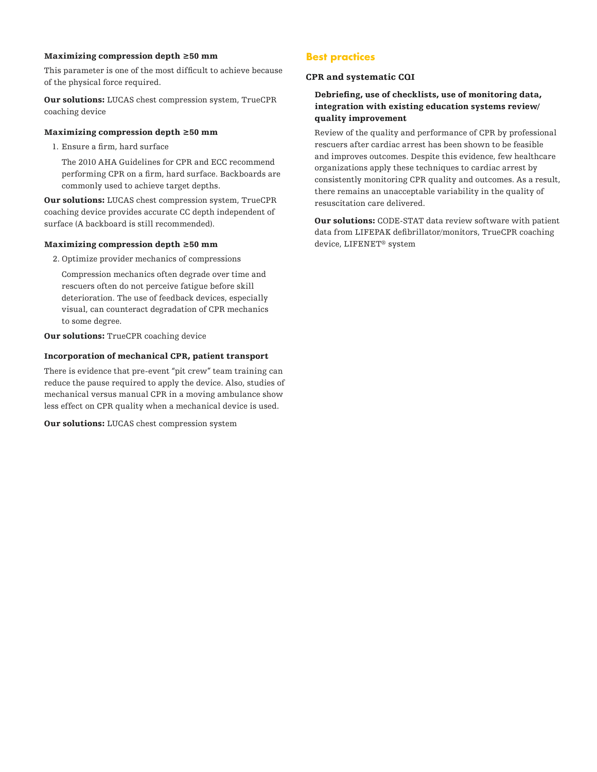#### Maximizing compression depth ≥50 mm

This parameter is one of the most difficult to achieve because of the physical force required.

Our solutions: LUCAS chest compression system, TrueCPR coaching device

#### Maximizing compression depth ≥50 mm

1. Ensure a firm, hard surface

The 2010 AHA Guidelines for CPR and ECC recommend performing CPR on a firm, hard surface. Backboards are commonly used to achieve target depths.

Our solutions: LUCAS chest compression system, TrueCPR coaching device provides accurate CC depth independent of surface (A backboard is still recommended).

#### Maximizing compression depth ≥50 mm

2. Optimize provider mechanics of compressions

Compression mechanics often degrade over time and rescuers often do not perceive fatigue before skill deterioration. The use of feedback devices, especially visual, can counteract degradation of CPR mechanics to some degree.

Our solutions: TrueCPR coaching device

#### Incorporation of mechanical CPR, patient transport

There is evidence that pre-event "pit crew" team training can reduce the pause required to apply the device. Also, studies of mechanical versus manual CPR in a moving ambulance show less effect on CPR quality when a mechanical device is used.

Our solutions: LUCAS chest compression system

## **Best practices**

#### CPR and systematic CQI

#### Debriefing, use of checklists, use of monitoring data, integration with existing education systems review/ quality improvement

Review of the quality and performance of CPR by professional rescuers after cardiac arrest has been shown to be feasible and improves outcomes. Despite this evidence, few healthcare organizations apply these techniques to cardiac arrest by consistently monitoring CPR quality and outcomes. As a result, there remains an unacceptable variability in the quality of resuscitation care delivered.

Our solutions: CODE-STAT data review software with patient data from LIFEPAK defibrillator/monitors, TrueCPR coaching device, LIFENET® system